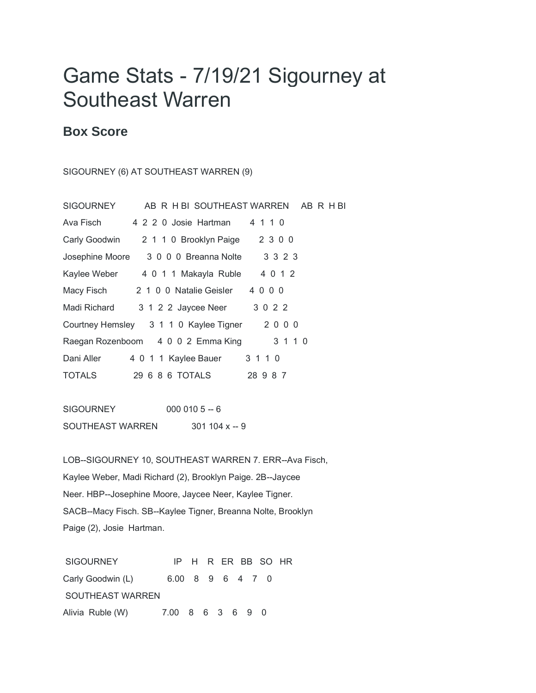## Game Stats - 7/19/21 Sigourney at Southeast Warren

## **Box Score**

SIGOURNEY (6) AT SOUTHEAST WARREN (9)

| SIGOURNEY     | AB R H BI SOUTHEAST WARREN AB R H BI       |          |
|---------------|--------------------------------------------|----------|
| Ava Fisch     | 4 2 2 0 Josie Hartman                      | 4 1 1 0  |
| Carly Goodwin | 2 1 1 0 Brooklyn Paige                     | 2 3 0 0  |
|               | Josephine Moore 3 0 0 0 Breanna Nolte      | 3 3 2 3  |
|               | Kaylee Weber 4 0 1 1 Makayla Ruble 4 0 1 2 |          |
|               | Macy Fisch 2 1 0 0 Natalie Geisler 4 0 0 0 |          |
| Madi Richard  | 3 1 2 2 Jaycee Neer 3 0 2 2                |          |
|               | Courtney Hemsley 3 1 1 0 Kaylee Tigner     | 2000     |
|               | Raegan Rozenboom 4 0 0 2 Emma King         | 3 1 1 0  |
| Dani Aller    | 4 0 1 1 Kaylee Bauer                       | 3 1 1 0  |
| <b>TOTALS</b> |                                            | 28 9 8 7 |

SIGOURNEY 000 010 5 -- 6 SOUTHEAST WARREN 301 104 x -- 9

LOB--SIGOURNEY 10, SOUTHEAST WARREN 7. ERR--Ava Fisch, Kaylee Weber, Madi Richard (2), Brooklyn Paige. 2B--Jaycee Neer. HBP--Josephine Moore, Jaycee Neer, Kaylee Tigner. SACB--Macy Fisch. SB--Kaylee Tigner, Breanna Nolte, Brooklyn Paige (2), Josie Hartman.

SIGOURNEY IP H R ER BB SO HR Carly Goodwin (L) 6.00 8 9 6 4 7 0 SOUTHEAST WARREN Alivia Ruble (W) 7.00 8 6 3 6 9 0